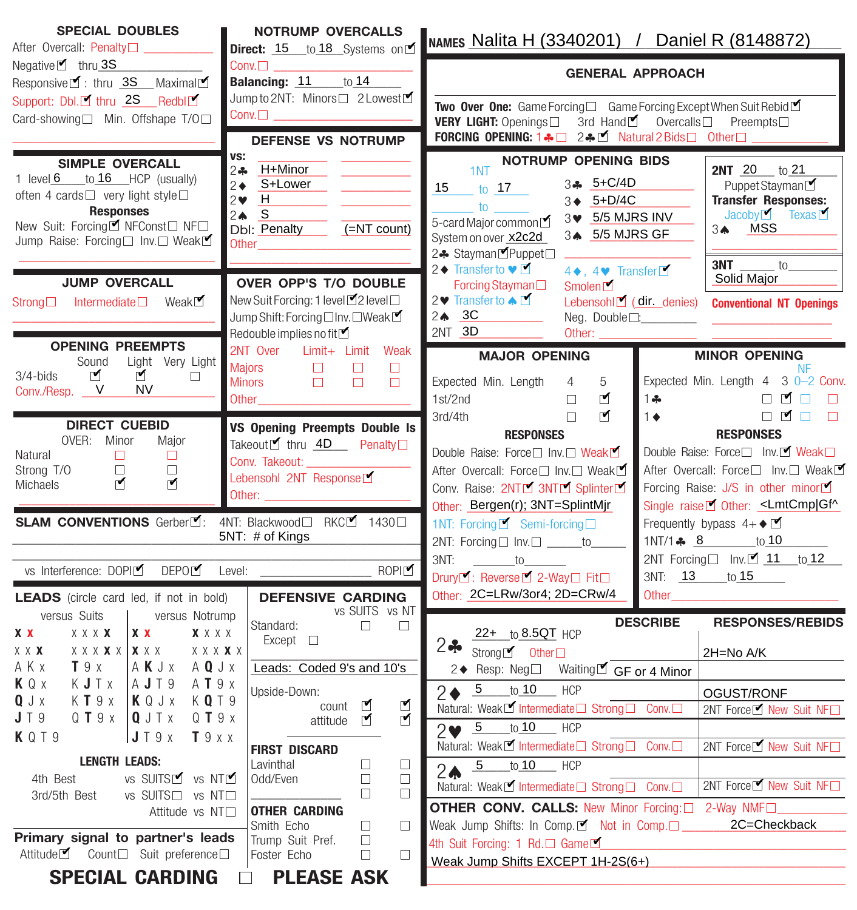| <b>SPECIAL DOUBLES</b><br>After Overcall: Penalty□ ______                                                                                                                                                         | <b>NOTRUMP OVERCALLS</b><br>Direct: 15 to 18 Systems on                                                                                                                                                   | NAMES Nalita H (3340201) / Daniel R (8148872)                                                                                                                                                                                                                                                     |                                                                                                                                                                                                                                                                 |  |  |  |  |  |  |
|-------------------------------------------------------------------------------------------------------------------------------------------------------------------------------------------------------------------|-----------------------------------------------------------------------------------------------------------------------------------------------------------------------------------------------------------|---------------------------------------------------------------------------------------------------------------------------------------------------------------------------------------------------------------------------------------------------------------------------------------------------|-----------------------------------------------------------------------------------------------------------------------------------------------------------------------------------------------------------------------------------------------------------------|--|--|--|--|--|--|
| $Negative$ thru 3S<br>Responsive■: thru 3S __ Maximal■                                                                                                                                                            | $Conv.\Box$<br>Balancing: 11 to 14                                                                                                                                                                        | <b>GENERAL APPROACH</b>                                                                                                                                                                                                                                                                           |                                                                                                                                                                                                                                                                 |  |  |  |  |  |  |
| Support: Dbl.■ thru 2S __ Redbl■<br>Card-showing□ Min. Offshape T/O□                                                                                                                                              | Jump to 2NT: Minors□ 2 Lowest<br>$Conv. \Box$<br><b>DEFENSE VS NOTRUMP</b>                                                                                                                                | Two Over One: Game Forcing□ Game Forcing Except When Suit Rebid■<br>VERY LIGHT: Openings□ 3rd HandL Overcalls□ Preempts□<br>FORCING OPENING: 1.4 0 2.4 M Natural 2 Bids 0ther                                                                                                                     |                                                                                                                                                                                                                                                                 |  |  |  |  |  |  |
| <b>SIMPLE OVERCALL</b><br>1 level 6 to 16 HCP (usually)<br>often 4 cards <sup>[1]</sup> very light style <sup>[1]</sup><br><b>Responses</b><br>New Suit: Forcing■ NFConst□ NF□<br>Jump Raise: Forcing□ Inv.□ Weak | VS:<br>H+Minor<br>$2 -$<br>2→ S+Lower<br>$2 \times H$<br>$2 \spadesuit \quad S$<br>Dbl: Penalty<br>(=NT count)<br>Other                                                                                   | <b>NOTRUMP OPENING BIDS</b><br>1NT<br>34 5+C/4D<br>15 to 17<br>3 ♦ 5+D/4C<br>$\overline{\phantom{a}}$ to $\overline{\phantom{a}}$<br>3 \$ 5/5 MJRS INV<br>5-card Major common<br>34 5/5 MJRS GF<br>System on over x2c2d<br>2♣ Stayman <sup>M</sup> Puppet□<br>2◆ Transfer to ♥<br>4♦, 4♥ Transfer | <b>2NT</b> 20 $\frac{1}{10}$ 21<br>Puppet Stayman<br><b>Transfer Responses:</b><br>$Jacoby$ $\blacksquare$ Texas $\blacksquare$<br>34 MSS<br>$3NT$ _______ to _____                                                                                             |  |  |  |  |  |  |
| <b>JUMP OVERCALL</b><br>Strong□ Intermediate□ WeakL                                                                                                                                                               | OVER OPP'S T/O DOUBLE<br>New Suit Forcing: 1 level■2 level□<br>Jump Shift: Forcing □ Inv. □ Weak ■<br>Redouble implies no fit $\blacksquare$                                                              | Forcing Stayman <sup>[1]</sup><br>Smolen<br>2 V Transfer to A L<br>$2 \spadesuit 3C$<br>2NT 3D<br>Other:                                                                                                                                                                                          | Solid Major<br>Lebensohl <sup>o</sup> (dir. denies)<br><b>Conventional NT Openings</b><br>Neg. Double $\square$ :                                                                                                                                               |  |  |  |  |  |  |
| <b>OPENING PREEMPTS</b><br>Sound<br>Light Very Light                                                                                                                                                              | 2NT Over Limit+ Limit Weak                                                                                                                                                                                | <b>MAJOR OPENING</b>                                                                                                                                                                                                                                                                              | <b>MINOR OPENING</b>                                                                                                                                                                                                                                            |  |  |  |  |  |  |
| び<br>☑<br>$3/4$ -bids<br>$\Box$<br>V<br><b>NV</b><br>Conv./Resp. _                                                                                                                                                | <b>Majors</b><br>$\Box$<br>$\Box$<br><b>Contract Contract</b><br>$\Box$<br><b>Minors</b><br>Other and the contract of the contract of the contract of the contract of the contract of the contract of the | 5<br>Expected Min. Length<br>$4 \quad$<br>⊻<br>1st/2nd<br>$\Box$<br>$\blacksquare$<br>3rd/4th<br>$\Box$                                                                                                                                                                                           | <b>NF</b><br>Expected Min. Length 4 3 0-2 Conv.<br>□■□<br>$1 -$<br>$\Box$<br>□■□<br>$1 \bullet$<br>$\Box$                                                                                                                                                       |  |  |  |  |  |  |
| <b>DIRECT CUEBID</b><br>OVER: Minor<br>Major<br>Natural<br>$\Box$<br>$\Box$<br>Strong T/O<br>$\Box$<br>$\Box$<br>⊻<br>☑<br>Michaels<br>SLAM CONVENTIONS Gerber <sup>y</sup> :                                     | <b>VS Opening Preempts Double Is</b><br>Takeout <sup><i>I</i></sup> thru 4D Penalty <sup>□</sup><br>Conv. Takeout:<br>Lebensohl 2NT Response<br>Other: _______________<br>4NT: Blackwood□ RKCL 1430□      | <b>RESPONSES</b><br>Double Raise: Force□ Inv.□ Weak<br>After Overcall: Force□ Inv.□ WeakL<br>Conv. Raise: 2NTM 3NTM SplinterM<br>Other: Bergen(r); 3NT=SplintMjr<br>1NT: Forcing ■ Semi-forcing □                                                                                                 | <b>RESPONSES</b><br>Double Raise: Force□ Inv. Ø Weak□<br>After Overcall: Force□ Inv.□ Weak<br>Forcing Raise: J/S in other minor<br>Single raise <sup>1</sup> Other: <lmtcmp gf^<br>Frequently bypass <math>4+\bullet \blacktriangleright</math></lmtcmp gf^<br> |  |  |  |  |  |  |
|                                                                                                                                                                                                                   | 5NT: # of Kings                                                                                                                                                                                           | 2NT: Forcing□ Inv.□ _____to_____<br>$3NT: \underline{\hspace{2cm}} to \underline{\hspace{2cm}}$                                                                                                                                                                                                   | 1NT/1 $\clubsuit$ 8 to 10<br>2NT Forcing $\Box$ Inv. $\Box$ 11 to 12                                                                                                                                                                                            |  |  |  |  |  |  |
| vs Interference: DOPIM DEPOM Level:                                                                                                                                                                               | ROPI                                                                                                                                                                                                      | Drury <sup>M</sup> : Reverse <sup>M</sup> 2-Way□ Fit□                                                                                                                                                                                                                                             | 3NT: 13 to 15                                                                                                                                                                                                                                                   |  |  |  |  |  |  |
| <b>LEADS</b> (circle card led, if not in bold)                                                                                                                                                                    | <b>DEFENSIVE CARDING</b>                                                                                                                                                                                  | Other: 2C=LRw/3or4; 2D=CRw/4                                                                                                                                                                                                                                                                      | Other <b>Community</b> Other                                                                                                                                                                                                                                    |  |  |  |  |  |  |
| versus Suits<br>versus Notrump<br>X X<br><b>X X X X</b><br>$X$ $X$ $X$ $X$<br>X X<br>$X$ $X$ $X$ $X$ $X$ $ $ $X$ $X$ $X$<br>$X$ $X$ $X$ $X$ $X$<br>X X X                                                          | vs SUITS vs NT<br>Standard:<br><b>Contract Contract Contract Contract</b><br>$\Box$<br>$Except$ $\square$                                                                                                 | 22+ to 8.5QT HCP<br>$2 -$<br>Strong■ Other□                                                                                                                                                                                                                                                       | <b>RESPONSES/REBIDS</b><br><b>DESCRIBE</b><br>2H=No A/K                                                                                                                                                                                                         |  |  |  |  |  |  |
| AKx<br>T9x<br>AKJx<br>A Q J x<br>KQx<br>KJTx<br>AJT9<br>A <b>T</b> 9 x<br>K Q T 9<br>$Q \cup x$<br>KT9x<br>KQJx                                                                                                   | Leads: Coded 9's and 10's<br>Upside-Down:                                                                                                                                                                 | 2◆ Resp: Neg□ Waitingビ GF or 4 Minor<br>5 to 10 HCP<br>$\bigcap$ $\bigwedge$                                                                                                                                                                                                                      | OGUST/RONF                                                                                                                                                                                                                                                      |  |  |  |  |  |  |
| $J \top 9$<br>$Q$ <b>T</b> $9$ $x$<br>Q J T x<br>$Q$ <b>T</b> $9$ $x$<br>J T 9 x<br><b>K</b> Q T 9<br>T9xx                                                                                                        | ⊻<br>count<br>⊻<br>⊻<br>attitude                                                                                                                                                                          | Natural: Weak™ Intermediate Strong <sub>D</sub> Conv.<br>to 10<br>$-5$<br><b>HCP</b><br>$2\blacktriangledown$                                                                                                                                                                                     | 2NT Force■ New Suit NF                                                                                                                                                                                                                                          |  |  |  |  |  |  |
| <b>LENGTH LEADS:</b>                                                                                                                                                                                              | <b>FIRST DISCARD</b><br>Lavinthal<br>$\Box$<br>Ц                                                                                                                                                          | Natural: WeakM Intermediate□ Strong□ Conv.□<br><b>HCP</b><br>to $10$<br>$\overline{5}$                                                                                                                                                                                                            | 2NT Force■ New Suit NF                                                                                                                                                                                                                                          |  |  |  |  |  |  |
| VS SUITSLY VS NTLY<br>4th Best<br>vs SUITS□ vs NT□<br>3rd/5th Best                                                                                                                                                | Odd/Even<br>$\Box$<br>$\Box$<br>□<br>□                                                                                                                                                                    | 2 <sub>A</sub><br>2NT Force■ New Suit NF<br>Natural: Weak■ Intermediate□ Strong□ Conv.□                                                                                                                                                                                                           |                                                                                                                                                                                                                                                                 |  |  |  |  |  |  |
| Attitude vs NT□                                                                                                                                                                                                   | <b>OTHER CARDING</b><br>Smith Echo<br>$\Box$<br>$\Box$                                                                                                                                                    | <b>OTHER CONV. CALLS: New Minor Forcing: 2-Way NMFLI</b><br>Weak Jump Shifts: In Comp. $\blacksquare$ Not in Comp. $\square$                                                                                                                                                                      | 2C=Checkback                                                                                                                                                                                                                                                    |  |  |  |  |  |  |
| Primary signal to partner's leads<br>Attitude■ Count□ Suit preference□                                                                                                                                            | Trump Suit Pref.<br>$\Box$<br>Foster Echo<br>□<br>$\Box$                                                                                                                                                  | 4th Suit Forcing: 1 Rd.□ Game<br>Weak Jump Shifts EXCEPT 1H-2S(6+)                                                                                                                                                                                                                                |                                                                                                                                                                                                                                                                 |  |  |  |  |  |  |
| <b>SPECIAL CARDING</b>                                                                                                                                                                                            | <b>PLEASE ASK</b>                                                                                                                                                                                         |                                                                                                                                                                                                                                                                                                   |                                                                                                                                                                                                                                                                 |  |  |  |  |  |  |